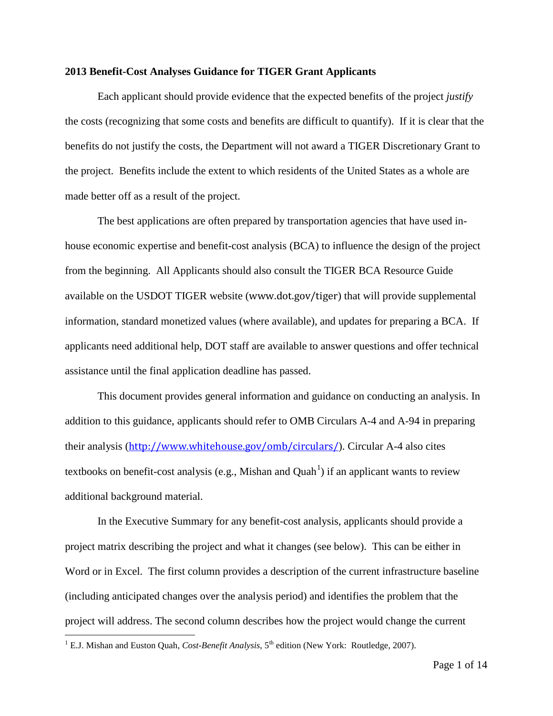## **2013 Benefit-Cost Analyses Guidance for TIGER Grant Applicants**

Each applicant should provide evidence that the expected benefits of the project *justify* the costs (recognizing that some costs and benefits are difficult to quantify). If it is clear that the benefits do not justify the costs, the Department will not award a TIGER Discretionary Grant to the project. Benefits include the extent to which residents of the United States as a whole are made better off as a result of the project.

The best applications are often prepared by transportation agencies that have used inhouse economic expertise and benefit-cost analysis (BCA) to influence the design of the project from the beginning. All Applicants should also consult the TIGER BCA Resource Guide available on the USDOT TIGER website (www.dot.gov/tiger) that will provide supplemental information, standard monetized values (where available), and updates for preparing a BCA. If applicants need additional help, DOT staff are available to answer questions and offer technical assistance until the final application deadline has passed.

This document provides general information and guidance on conducting an analysis. In addition to this guidance, applicants should refer to OMB Circulars A-4 and A-94 in preparing their analysis (<http://www.whitehouse.gov/omb/circulars/>). Circular A-4 also cites textbooks on benefit-cost analysis (e.g., Mishan and Quah<sup>[1](#page-0-0)</sup>) if an applicant wants to review additional background material.

In the Executive Summary for any benefit-cost analysis, applicants should provide a project matrix describing the project and what it changes (see below). This can be either in Word or in Excel. The first column provides a description of the current infrastructure baseline (including anticipated changes over the analysis period) and identifies the problem that the project will address. The second column describes how the project would change the current

<span id="page-0-0"></span><sup>&</sup>lt;sup>1</sup> E.J. Mishan and Euston Quah, *Cost-Benefit Analysis*, 5<sup>th</sup> edition (New York: Routledge, 2007).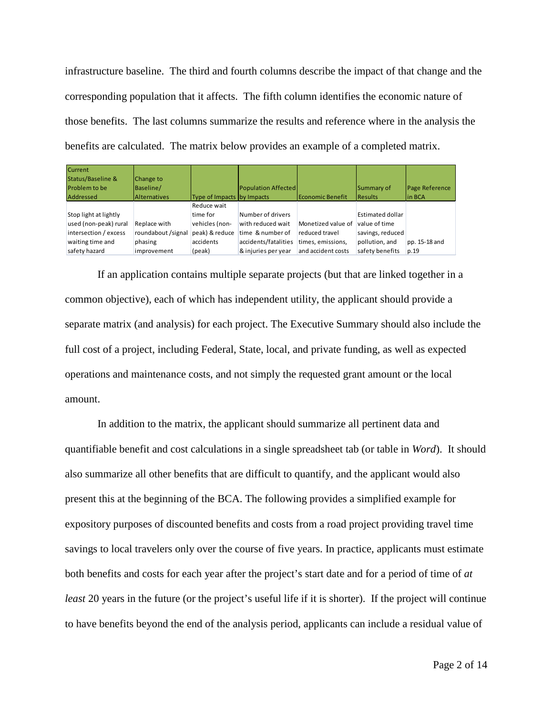infrastructure baseline. The third and fourth columns describe the impact of that change and the corresponding population that it affects. The fifth column identifies the economic nature of those benefits. The last columns summarize the results and reference where in the analysis the benefits are calculated. The matrix below provides an example of a completed matrix.

| <b>Current</b>        |                     |                            |                            |                    |                  |                |
|-----------------------|---------------------|----------------------------|----------------------------|--------------------|------------------|----------------|
| Status/Baseline &     | Change to           |                            |                            |                    |                  |                |
| <b>Problem to be</b>  | Baseline/           |                            | <b>Population Affected</b> |                    | Summary of       | Page Reference |
| Addressed             | <b>Alternatives</b> | Type of Impacts by Impacts |                            | Economic Benefit   | <b>Results</b>   | lin BCA        |
|                       |                     | Reduce wait                |                            |                    |                  |                |
| Stop light at lightly |                     | time for                   | Number of drivers          |                    | Estimated dollar |                |
| used (non-peak) rural | Replace with        | vehicles (non-             | with reduced wait          | Monetized value of | value of time    |                |
| intersection / excess | roundabout /signal  | peak) & reduce             | time & number of           | reduced travel     | savings, reduced |                |
| waiting time and      | phasing             | accidents                  | accidents/fatalities       | times, emissions,  | pollution, and   | pp. 15-18 and  |
| safety hazard         | improvement         | (peak)                     | & injuries per year        | and accident costs | safety benefits  | p.19           |

If an application contains multiple separate projects (but that are linked together in a common objective), each of which has independent utility, the applicant should provide a separate matrix (and analysis) for each project. The Executive Summary should also include the full cost of a project, including Federal, State, local, and private funding, as well as expected operations and maintenance costs, and not simply the requested grant amount or the local amount.

In addition to the matrix, the applicant should summarize all pertinent data and quantifiable benefit and cost calculations in a single spreadsheet tab (or table in *Word*). It should also summarize all other benefits that are difficult to quantify, and the applicant would also present this at the beginning of the BCA. The following provides a simplified example for expository purposes of discounted benefits and costs from a road project providing travel time savings to local travelers only over the course of five years. In practice, applicants must estimate both benefits and costs for each year after the project's start date and for a period of time of *at least* 20 years in the future (or the project's useful life if it is shorter). If the project will continue to have benefits beyond the end of the analysis period, applicants can include a residual value of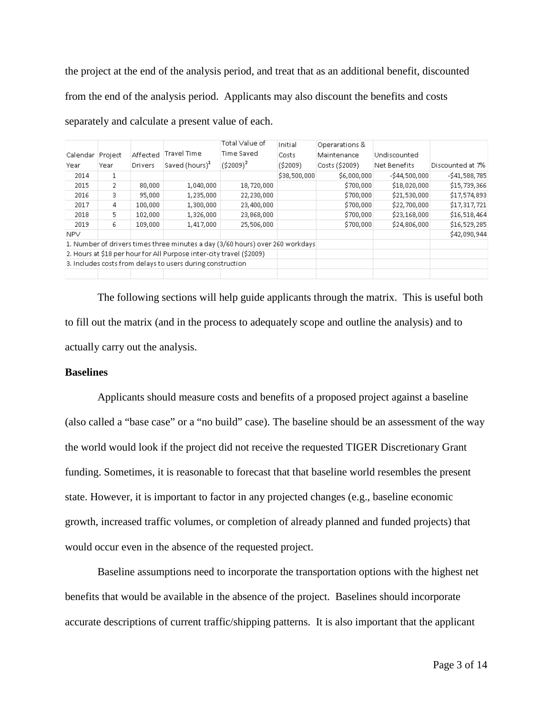the project at the end of the analysis period, and treat that as an additional benefit, discounted from the end of the analysis period. Applicants may also discount the benefits and costs separately and calculate a present value of each.

|          |         |          |                                                                               | Total Value of | Initial      | Operarations & |                |                  |
|----------|---------|----------|-------------------------------------------------------------------------------|----------------|--------------|----------------|----------------|------------------|
| Calendar | Project | Affected | <b>Travel Time</b>                                                            | Time Saved     | Costs        | Maintenance    | Undiscounted   |                  |
| Year     | Year    | Drivers  | Saved (hours) <sup>1</sup>                                                    | $(52009)^2$    | ( \$2009)    | Costs (\$2009) | Net Benefits   | Discounted at 7% |
| 2014     | 1       |          |                                                                               |                | \$38,500,000 | \$6,000,000    | $-544,500,000$ | $-541,588,785$   |
| 2015     | 2       | 80,000   | 1,040,000                                                                     | 18,720,000     |              | \$700,000      | \$18,020,000   | \$15,739,366     |
| 2016     | 3.      | 95,000   | 1,235,000                                                                     | 22,230,000     |              | \$700,000      | \$21,530,000   | \$17,574,893     |
| 2017     | 4       | 100,000  | 1,300,000                                                                     | 23,400,000     |              | \$700,000      | \$22,700,000   | \$17,317,721     |
| 2018     | 5.      | 102,000  | 1,326,000                                                                     | 23,868,000     |              | \$700,000      | \$23,168,000   | \$16,518,464     |
| 2019     | 6       | 109,000  | 1,417,000                                                                     | 25,506,000     |              | \$700,000      | \$24,806,000   | \$16,529,285     |
| NPV.     |         |          |                                                                               |                |              |                |                | \$42,090,944     |
|          |         |          | 1. Number of drivers times three minutes a day (3/60 hours) over 260 workdays |                |              |                |                |                  |
|          |         |          | 2. Hours at \$18 per hour for All Purpose inter-city travel (\$2009)          |                |              |                |                |                  |
|          |         |          | 3. Includes costs from delays to users during construction                    |                |              |                |                |                  |
|          |         |          |                                                                               |                |              |                |                |                  |

The following sections will help guide applicants through the matrix. This is useful both to fill out the matrix (and in the process to adequately scope and outline the analysis) and to actually carry out the analysis.

# **Baselines**

Applicants should measure costs and benefits of a proposed project against a baseline (also called a "base case" or a "no build" case). The baseline should be an assessment of the way the world would look if the project did not receive the requested TIGER Discretionary Grant funding. Sometimes, it is reasonable to forecast that that baseline world resembles the present state. However, it is important to factor in any projected changes (e.g., baseline economic growth, increased traffic volumes, or completion of already planned and funded projects) that would occur even in the absence of the requested project.

Baseline assumptions need to incorporate the transportation options with the highest net benefits that would be available in the absence of the project. Baselines should incorporate accurate descriptions of current traffic/shipping patterns. It is also important that the applicant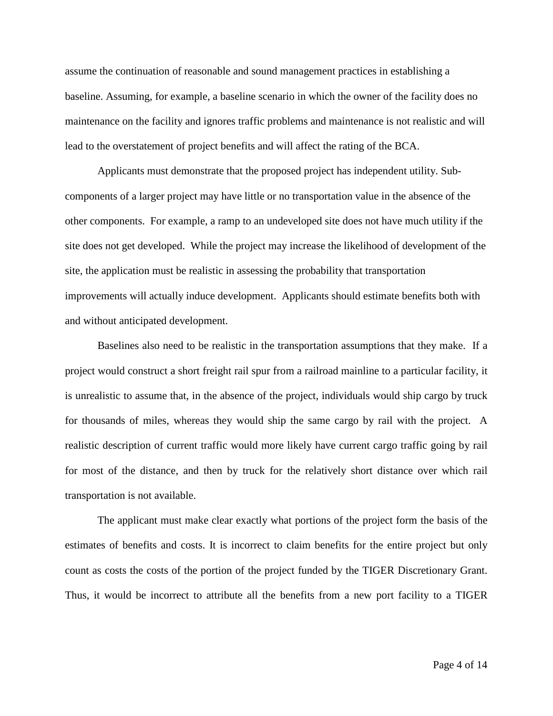assume the continuation of reasonable and sound management practices in establishing a baseline. Assuming, for example, a baseline scenario in which the owner of the facility does no maintenance on the facility and ignores traffic problems and maintenance is not realistic and will lead to the overstatement of project benefits and will affect the rating of the BCA.

Applicants must demonstrate that the proposed project has independent utility. Subcomponents of a larger project may have little or no transportation value in the absence of the other components. For example, a ramp to an undeveloped site does not have much utility if the site does not get developed. While the project may increase the likelihood of development of the site, the application must be realistic in assessing the probability that transportation improvements will actually induce development. Applicants should estimate benefits both with and without anticipated development.

Baselines also need to be realistic in the transportation assumptions that they make. If a project would construct a short freight rail spur from a railroad mainline to a particular facility, it is unrealistic to assume that, in the absence of the project, individuals would ship cargo by truck for thousands of miles, whereas they would ship the same cargo by rail with the project. A realistic description of current traffic would more likely have current cargo traffic going by rail for most of the distance, and then by truck for the relatively short distance over which rail transportation is not available.

The applicant must make clear exactly what portions of the project form the basis of the estimates of benefits and costs. It is incorrect to claim benefits for the entire project but only count as costs the costs of the portion of the project funded by the TIGER Discretionary Grant. Thus, it would be incorrect to attribute all the benefits from a new port facility to a TIGER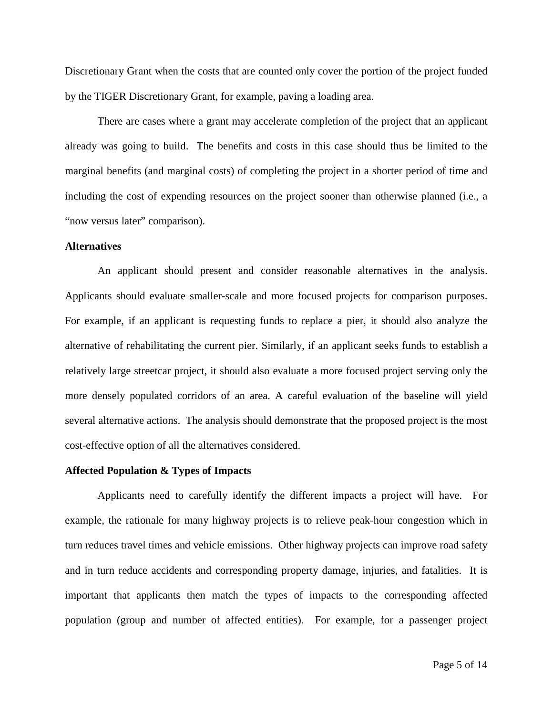Discretionary Grant when the costs that are counted only cover the portion of the project funded by the TIGER Discretionary Grant, for example, paving a loading area.

There are cases where a grant may accelerate completion of the project that an applicant already was going to build. The benefits and costs in this case should thus be limited to the marginal benefits (and marginal costs) of completing the project in a shorter period of time and including the cost of expending resources on the project sooner than otherwise planned (i.e., a "now versus later" comparison).

## **Alternatives**

An applicant should present and consider reasonable alternatives in the analysis. Applicants should evaluate smaller-scale and more focused projects for comparison purposes. For example, if an applicant is requesting funds to replace a pier, it should also analyze the alternative of rehabilitating the current pier. Similarly, if an applicant seeks funds to establish a relatively large streetcar project, it should also evaluate a more focused project serving only the more densely populated corridors of an area. A careful evaluation of the baseline will yield several alternative actions. The analysis should demonstrate that the proposed project is the most cost-effective option of all the alternatives considered.

#### **Affected Population & Types of Impacts**

Applicants need to carefully identify the different impacts a project will have. For example, the rationale for many highway projects is to relieve peak-hour congestion which in turn reduces travel times and vehicle emissions. Other highway projects can improve road safety and in turn reduce accidents and corresponding property damage, injuries, and fatalities. It is important that applicants then match the types of impacts to the corresponding affected population (group and number of affected entities). For example, for a passenger project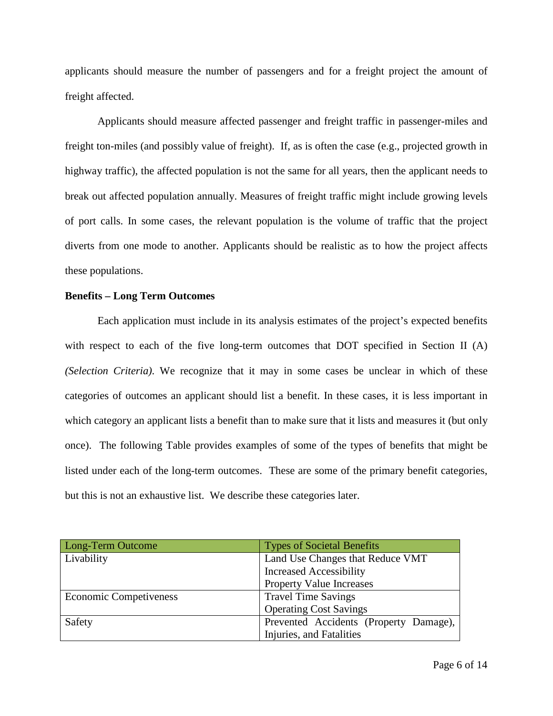applicants should measure the number of passengers and for a freight project the amount of freight affected.

Applicants should measure affected passenger and freight traffic in passenger-miles and freight ton-miles (and possibly value of freight). If, as is often the case (e.g., projected growth in highway traffic), the affected population is not the same for all years, then the applicant needs to break out affected population annually. Measures of freight traffic might include growing levels of port calls. In some cases, the relevant population is the volume of traffic that the project diverts from one mode to another. Applicants should be realistic as to how the project affects these populations.

# **Benefits – Long Term Outcomes**

Each application must include in its analysis estimates of the project's expected benefits with respect to each of the five long-term outcomes that DOT specified in Section II (A) *(Selection Criteria)*. We recognize that it may in some cases be unclear in which of these categories of outcomes an applicant should list a benefit. In these cases, it is less important in which category an applicant lists a benefit than to make sure that it lists and measures it (but only once). The following Table provides examples of some of the types of benefits that might be listed under each of the long-term outcomes. These are some of the primary benefit categories, but this is not an exhaustive list. We describe these categories later.

| Long-Term Outcome      | <b>Types of Societal Benefits</b>      |
|------------------------|----------------------------------------|
| Livability             | Land Use Changes that Reduce VMT       |
|                        | <b>Increased Accessibility</b>         |
|                        | <b>Property Value Increases</b>        |
| Economic Competiveness | <b>Travel Time Savings</b>             |
|                        | <b>Operating Cost Savings</b>          |
| Safety                 | Prevented Accidents (Property Damage), |
|                        | Injuries, and Fatalities               |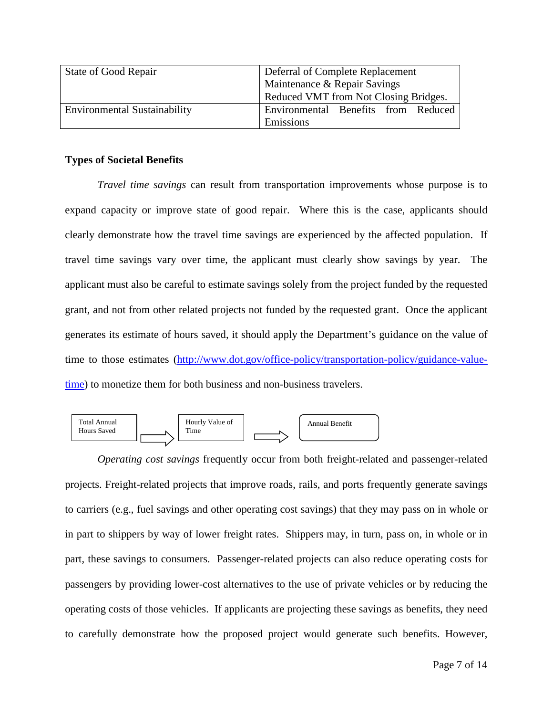| State of Good Repair                | Deferral of Complete Replacement      |  |  |  |  |
|-------------------------------------|---------------------------------------|--|--|--|--|
|                                     | Maintenance & Repair Savings          |  |  |  |  |
|                                     | Reduced VMT from Not Closing Bridges. |  |  |  |  |
| <b>Environmental Sustainability</b> | Environmental Benefits from Reduced   |  |  |  |  |
|                                     | Emissions                             |  |  |  |  |

## **Types of Societal Benefits**

*Travel time savings* can result from transportation improvements whose purpose is to expand capacity or improve state of good repair. Where this is the case, applicants should clearly demonstrate how the travel time savings are experienced by the affected population. If travel time savings vary over time, the applicant must clearly show savings by year. The applicant must also be careful to estimate savings solely from the project funded by the requested grant, and not from other related projects not funded by the requested grant. Once the applicant generates its estimate of hours saved, it should apply the Department's guidance on the value of time to those estimates [\(http://www.dot.gov/office-policy/transportation-policy/guidance-value](http://www.dot.gov/office-policy/transportation-policy/guidance-value-time)[time\)](http://www.dot.gov/office-policy/transportation-policy/guidance-value-time) to monetize them for both business and non-business travelers.



*Operating cost savings* frequently occur from both freight-related and passenger-related projects. Freight-related projects that improve roads, rails, and ports frequently generate savings to carriers (e.g., fuel savings and other operating cost savings) that they may pass on in whole or in part to shippers by way of lower freight rates. Shippers may, in turn, pass on, in whole or in part, these savings to consumers. Passenger-related projects can also reduce operating costs for passengers by providing lower-cost alternatives to the use of private vehicles or by reducing the operating costs of those vehicles. If applicants are projecting these savings as benefits, they need to carefully demonstrate how the proposed project would generate such benefits. However,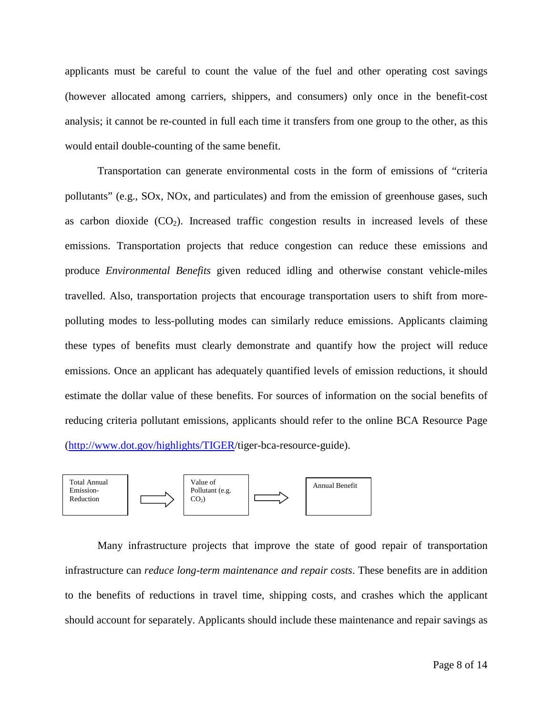applicants must be careful to count the value of the fuel and other operating cost savings (however allocated among carriers, shippers, and consumers) only once in the benefit-cost analysis; it cannot be re-counted in full each time it transfers from one group to the other, as this would entail double-counting of the same benefit.

Transportation can generate environmental costs in the form of emissions of "criteria pollutants" (e.g., SOx, NOx, and particulates) and from the emission of greenhouse gases, such as carbon dioxide  $(CO_2)$ . Increased traffic congestion results in increased levels of these emissions. Transportation projects that reduce congestion can reduce these emissions and produce *Environmental Benefits* given reduced idling and otherwise constant vehicle-miles travelled. Also, transportation projects that encourage transportation users to shift from morepolluting modes to less-polluting modes can similarly reduce emissions. Applicants claiming these types of benefits must clearly demonstrate and quantify how the project will reduce emissions. Once an applicant has adequately quantified levels of emission reductions, it should estimate the dollar value of these benefits. For sources of information on the social benefits of reducing criteria pollutant emissions, applicants should refer to the online BCA Resource Page [\(http://www.dot.gov/highlights/TIGER/](http://www.dot.gov/highlights/TIGER)tiger-bca-resource-guide).



Many infrastructure projects that improve the state of good repair of transportation infrastructure can *reduce long-term maintenance and repair costs*. These benefits are in addition to the benefits of reductions in travel time, shipping costs, and crashes which the applicant should account for separately. Applicants should include these maintenance and repair savings as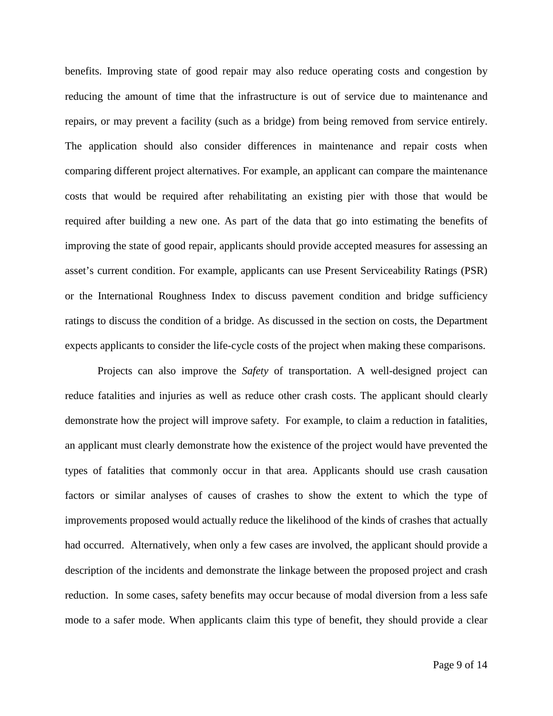benefits. Improving state of good repair may also reduce operating costs and congestion by reducing the amount of time that the infrastructure is out of service due to maintenance and repairs, or may prevent a facility (such as a bridge) from being removed from service entirely. The application should also consider differences in maintenance and repair costs when comparing different project alternatives. For example, an applicant can compare the maintenance costs that would be required after rehabilitating an existing pier with those that would be required after building a new one. As part of the data that go into estimating the benefits of improving the state of good repair, applicants should provide accepted measures for assessing an asset's current condition. For example, applicants can use Present Serviceability Ratings (PSR) or the International Roughness Index to discuss pavement condition and bridge sufficiency ratings to discuss the condition of a bridge. As discussed in the section on costs, the Department expects applicants to consider the life-cycle costs of the project when making these comparisons.

Projects can also improve the *Safety* of transportation. A well-designed project can reduce fatalities and injuries as well as reduce other crash costs. The applicant should clearly demonstrate how the project will improve safety. For example, to claim a reduction in fatalities, an applicant must clearly demonstrate how the existence of the project would have prevented the types of fatalities that commonly occur in that area. Applicants should use crash causation factors or similar analyses of causes of crashes to show the extent to which the type of improvements proposed would actually reduce the likelihood of the kinds of crashes that actually had occurred. Alternatively, when only a few cases are involved, the applicant should provide a description of the incidents and demonstrate the linkage between the proposed project and crash reduction. In some cases, safety benefits may occur because of modal diversion from a less safe mode to a safer mode. When applicants claim this type of benefit, they should provide a clear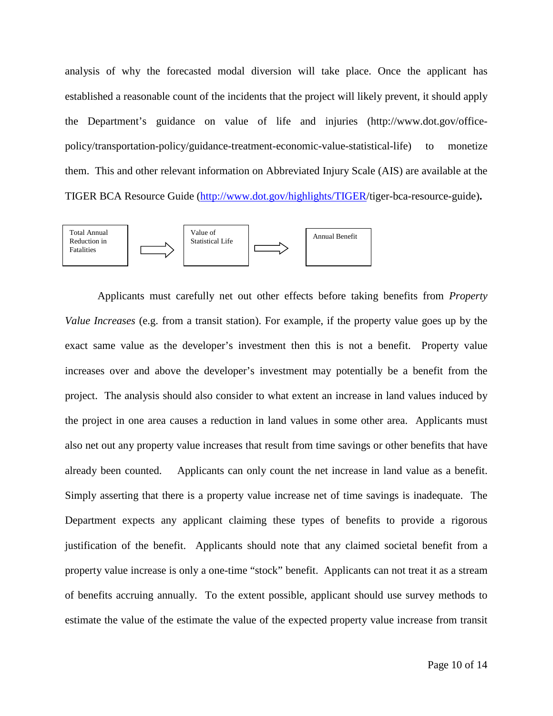analysis of why the forecasted modal diversion will take place. Once the applicant has established a reasonable count of the incidents that the project will likely prevent, it should apply the Department's guidance on value of life and injuries (http://www.dot.gov/officepolicy/transportation-policy/guidance-treatment-economic-value-statistical-life) to monetize them. This and other relevant information on Abbreviated Injury Scale (AIS) are available at the TIGER BCA Resource Guide [\(http://www.dot.gov/highlights/TIGER/](http://www.dot.gov/highlights/TIGER)tiger-bca-resource-guide)**.**



Applicants must carefully net out other effects before taking benefits from *Property Value Increases* (e.g. from a transit station). For example, if the property value goes up by the exact same value as the developer's investment then this is not a benefit. Property value increases over and above the developer's investment may potentially be a benefit from the project. The analysis should also consider to what extent an increase in land values induced by the project in one area causes a reduction in land values in some other area. Applicants must also net out any property value increases that result from time savings or other benefits that have already been counted. Applicants can only count the net increase in land value as a benefit. Simply asserting that there is a property value increase net of time savings is inadequate. The Department expects any applicant claiming these types of benefits to provide a rigorous justification of the benefit. Applicants should note that any claimed societal benefit from a property value increase is only a one-time "stock" benefit. Applicants can not treat it as a stream of benefits accruing annually. To the extent possible, applicant should use survey methods to estimate the value of the estimate the value of the expected property value increase from transit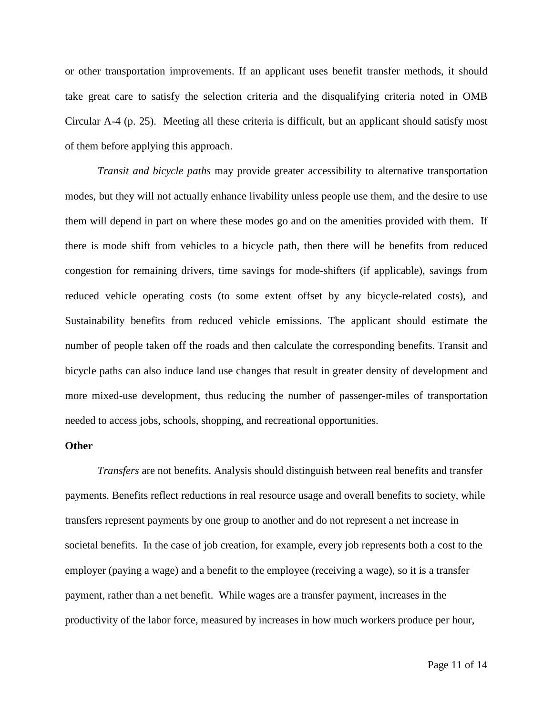or other transportation improvements. If an applicant uses benefit transfer methods, it should take great care to satisfy the selection criteria and the disqualifying criteria noted in OMB Circular A-4 (p. 25). Meeting all these criteria is difficult, but an applicant should satisfy most of them before applying this approach.

*Transit and bicycle paths* may provide greater accessibility to alternative transportation modes, but they will not actually enhance livability unless people use them, and the desire to use them will depend in part on where these modes go and on the amenities provided with them. If there is mode shift from vehicles to a bicycle path, then there will be benefits from reduced congestion for remaining drivers, time savings for mode-shifters (if applicable), savings from reduced vehicle operating costs (to some extent offset by any bicycle-related costs), and Sustainability benefits from reduced vehicle emissions. The applicant should estimate the number of people taken off the roads and then calculate the corresponding benefits. Transit and bicycle paths can also induce land use changes that result in greater density of development and more mixed-use development, thus reducing the number of passenger-miles of transportation needed to access jobs, schools, shopping, and recreational opportunities.

## **Other**

*Transfers* are not benefits. Analysis should distinguish between real benefits and transfer payments. Benefits reflect reductions in real resource usage and overall benefits to society, while transfers represent payments by one group to another and do not represent a net increase in societal benefits. In the case of job creation, for example, every job represents both a cost to the employer (paying a wage) and a benefit to the employee (receiving a wage), so it is a transfer payment, rather than a net benefit. While wages are a transfer payment, increases in the productivity of the labor force, measured by increases in how much workers produce per hour,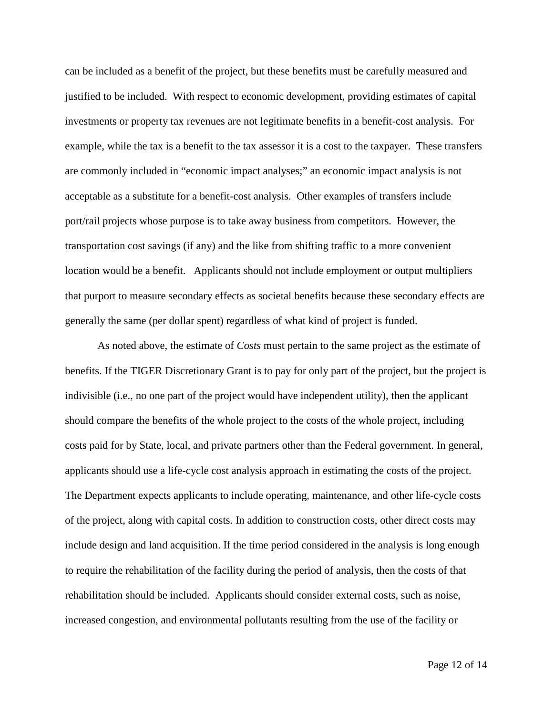can be included as a benefit of the project, but these benefits must be carefully measured and justified to be included. With respect to economic development, providing estimates of capital investments or property tax revenues are not legitimate benefits in a benefit-cost analysis. For example, while the tax is a benefit to the tax assessor it is a cost to the taxpayer. These transfers are commonly included in "economic impact analyses;" an economic impact analysis is not acceptable as a substitute for a benefit-cost analysis. Other examples of transfers include port/rail projects whose purpose is to take away business from competitors. However, the transportation cost savings (if any) and the like from shifting traffic to a more convenient location would be a benefit. Applicants should not include employment or output multipliers that purport to measure secondary effects as societal benefits because these secondary effects are generally the same (per dollar spent) regardless of what kind of project is funded.

As noted above, the estimate of *Costs* must pertain to the same project as the estimate of benefits. If the TIGER Discretionary Grant is to pay for only part of the project, but the project is indivisible (i.e., no one part of the project would have independent utility), then the applicant should compare the benefits of the whole project to the costs of the whole project, including costs paid for by State, local, and private partners other than the Federal government. In general, applicants should use a life-cycle cost analysis approach in estimating the costs of the project. The Department expects applicants to include operating, maintenance, and other life-cycle costs of the project, along with capital costs. In addition to construction costs, other direct costs may include design and land acquisition. If the time period considered in the analysis is long enough to require the rehabilitation of the facility during the period of analysis, then the costs of that rehabilitation should be included. Applicants should consider external costs, such as noise, increased congestion, and environmental pollutants resulting from the use of the facility or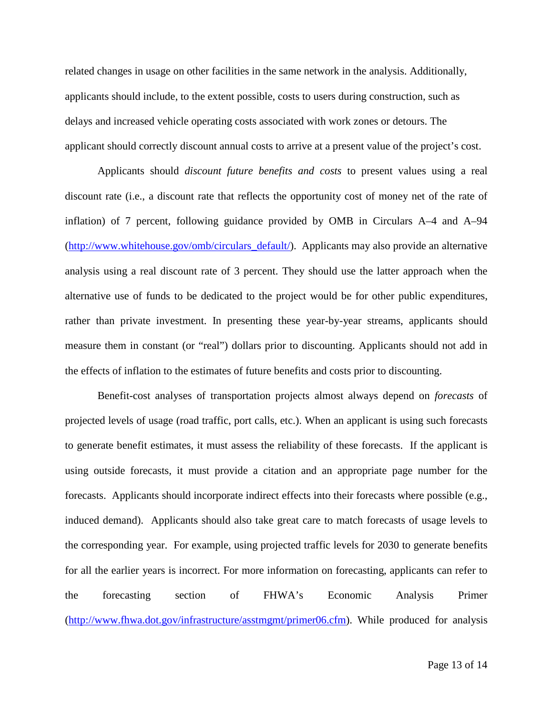related changes in usage on other facilities in the same network in the analysis. Additionally, applicants should include, to the extent possible, costs to users during construction, such as delays and increased vehicle operating costs associated with work zones or detours. The applicant should correctly discount annual costs to arrive at a present value of the project's cost.

Applicants should *discount future benefits and costs* to present values using a real discount rate (i.e., a discount rate that reflects the opportunity cost of money net of the rate of inflation) of 7 percent, following guidance provided by OMB in Circulars A–4 and A–94 [\(http://www.whitehouse.gov/omb/circulars\\_default/\)](http://www.whitehouse.gov/omb/circulars_default/). Applicants may also provide an alternative analysis using a real discount rate of 3 percent. They should use the latter approach when the alternative use of funds to be dedicated to the project would be for other public expenditures, rather than private investment. In presenting these year-by-year streams, applicants should measure them in constant (or "real") dollars prior to discounting. Applicants should not add in the effects of inflation to the estimates of future benefits and costs prior to discounting.

Benefit-cost analyses of transportation projects almost always depend on *forecasts* of projected levels of usage (road traffic, port calls, etc.). When an applicant is using such forecasts to generate benefit estimates, it must assess the reliability of these forecasts. If the applicant is using outside forecasts, it must provide a citation and an appropriate page number for the forecasts. Applicants should incorporate indirect effects into their forecasts where possible (e.g., induced demand). Applicants should also take great care to match forecasts of usage levels to the corresponding year. For example, using projected traffic levels for 2030 to generate benefits for all the earlier years is incorrect. For more information on forecasting, applicants can refer to the forecasting section of FHWA's Economic Analysis Primer [\(http://www.fhwa.dot.gov/infrastructure/asstmgmt/primer06.cfm\)](http://www.fhwa.dot.gov/infrastructure/asstmgmt/primer06.cfm). While produced for analysis